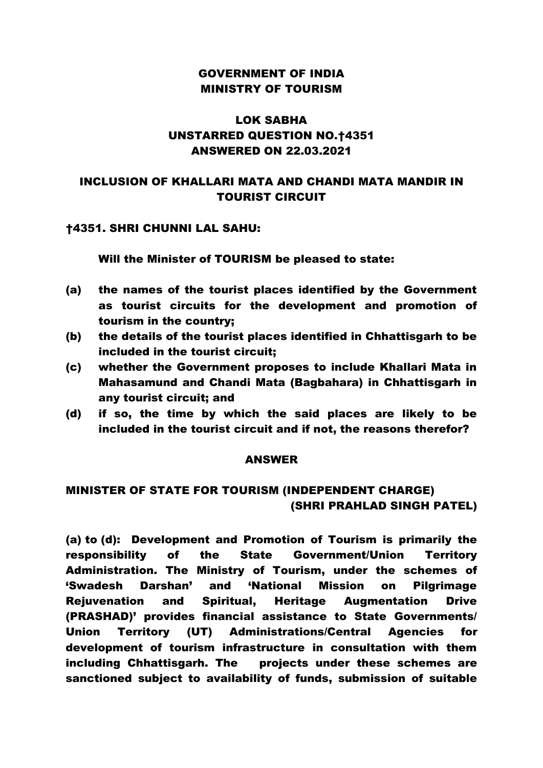## GOVERNMENT OF INDIA MINISTRY OF TOURISM

# LOK SABHA UNSTARRED QUESTION NO.†4351 ANSWERED ON 22.03.2021

## INCLUSION OF KHALLARI MATA AND CHANDI MATA MANDIR IN TOURIST CIRCUIT

### †4351. SHRI CHUNNI LAL SAHU:

Will the Minister of TOURISM be pleased to state:

- (a) the names of the tourist places identified by the Government as tourist circuits for the development and promotion of tourism in the country;
- (b) the details of the tourist places identified in Chhattisgarh to be included in the tourist circuit;
- (c) whether the Government proposes to include Khallari Mata in Mahasamund and Chandi Mata (Bagbahara) in Chhattisgarh in any tourist circuit; and
- (d) if so, the time by which the said places are likely to be included in the tourist circuit and if not, the reasons therefor?

#### ANSWER

## MINISTER OF STATE FOR TOURISM (INDEPENDENT CHARGE) (SHRI PRAHLAD SINGH PATEL)

(a) to (d): Development and Promotion of Tourism is primarily the responsibility of the State Government/Union Territory Administration. The Ministry of Tourism, under the schemes of 'Swadesh Darshan' and 'National Mission on Pilgrimage Rejuvenation and Spiritual, Heritage Augmentation Drive (PRASHAD)' provides financial assistance to State Governments/ Union Territory (UT) Administrations/Central Agencies for development of tourism infrastructure in consultation with them including Chhattisgarh. The projects under these schemes are sanctioned subject to availability of funds, submission of suitable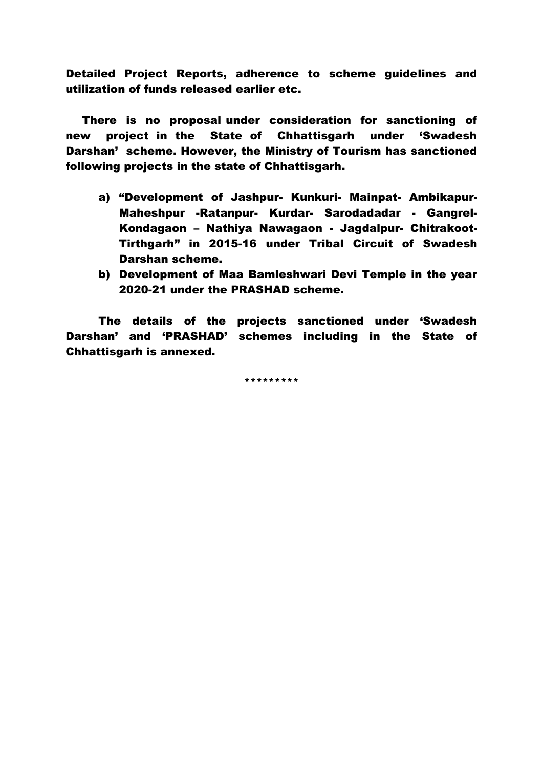Detailed Project Reports, adherence to scheme guidelines and utilization of funds released earlier etc.

There is no proposal under consideration for sanctioning of new project in the State of Chhattisgarh under 'Swadesh Darshan' scheme. However, the Ministry of Tourism has sanctioned following projects in the state of Chhattisgarh.

- a) "Development of Jashpur- Kunkuri- Mainpat- Ambikapur-Maheshpur -Ratanpur- Kurdar- Sarodadadar - Gangrel-Kondagaon – Nathiya Nawagaon - Jagdalpur- Chitrakoot-Tirthgarh" in 2015-16 under Tribal Circuit of Swadesh Darshan scheme.
- b) Development of Maa Bamleshwari Devi Temple in the year 2020-21 under the PRASHAD scheme.

The details of the projects sanctioned under 'Swadesh Darshan' and 'PRASHAD' schemes including in the State of Chhattisgarh is annexed.

\*\*\*\*\*\*\*\*\*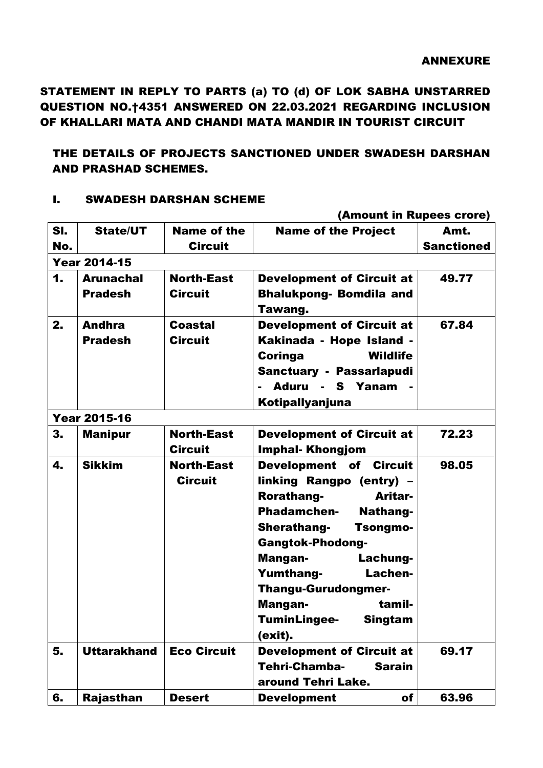STATEMENT IN REPLY TO PARTS (a) TO (d) OF LOK SABHA UNSTARRED QUESTION NO.†4351 ANSWERED ON 22.03.2021 REGARDING INCLUSION OF KHALLARI MATA AND CHANDI MATA MANDIR IN TOURIST CIRCUIT

## THE DETAILS OF PROJECTS SANCTIONED UNDER SWADESH DARSHAN AND PRASHAD SCHEMES.

#### I. SWADESH DARSHAN SCHEME

|                     | (Amount in Rupees crore)           |                                      |                                                                                                                                                                                                                                                                                                                               |                           |  |
|---------------------|------------------------------------|--------------------------------------|-------------------------------------------------------------------------------------------------------------------------------------------------------------------------------------------------------------------------------------------------------------------------------------------------------------------------------|---------------------------|--|
| SI.<br>No.          | <b>State/UT</b>                    | <b>Name of the</b><br><b>Circuit</b> | <b>Name of the Project</b>                                                                                                                                                                                                                                                                                                    | Amt.<br><b>Sanctioned</b> |  |
| <b>Year 2014-15</b> |                                    |                                      |                                                                                                                                                                                                                                                                                                                               |                           |  |
| $\mathbf 1$         | <b>Arunachal</b><br><b>Pradesh</b> | <b>North-East</b><br><b>Circuit</b>  | <b>Development of Circuit at</b><br><b>Bhalukpong- Bomdila and</b><br>Tawang.                                                                                                                                                                                                                                                 | 49.77                     |  |
| 2.                  | <b>Andhra</b><br><b>Pradesh</b>    | <b>Coastal</b><br><b>Circuit</b>     | <b>Development of Circuit at</b><br>Kakinada - Hope Island -<br><b>Wildlife</b><br>Coringa<br>Sanctuary - Passarlapudi<br>Aduru - S Yanam<br>Kotipallyanjuna                                                                                                                                                                  | 67.84                     |  |
|                     | <b>Year 2015-16</b>                |                                      |                                                                                                                                                                                                                                                                                                                               |                           |  |
| 3.                  | <b>Manipur</b>                     | <b>North-East</b><br><b>Circuit</b>  | <b>Development of Circuit at</b><br><b>Imphal-Khongjom</b>                                                                                                                                                                                                                                                                    | 72.23                     |  |
| 4.                  | <b>Sikkim</b>                      | <b>North-East</b><br><b>Circuit</b>  | Development of Circuit<br>linking Rangpo (entry) -<br>Rorathang-<br>Aritar-<br><b>Phadamchen-</b><br>Nathang-<br><b>Sherathang-</b><br><b>Tsongmo-</b><br><b>Gangtok-Phodong-</b><br>Lachung-<br>Mangan-<br><b>Yumthang-</b><br>Lachen-<br><b>Thangu-Gurudongmer-</b><br>tamil-<br>Mangan-<br>TuminLingee- Singtam<br>(exit). | 98.05                     |  |
| 5.                  | <b>Uttarakhand</b>                 | <b>Eco Circuit</b>                   | <b>Development of Circuit at</b><br>Tehri-Chamba-<br><b>Sarain</b><br>around Tehri Lake.                                                                                                                                                                                                                                      | 69.17                     |  |
| 6.                  | <b>Rajasthan</b>                   | <b>Desert</b>                        | of<br><b>Development</b>                                                                                                                                                                                                                                                                                                      | 63.96                     |  |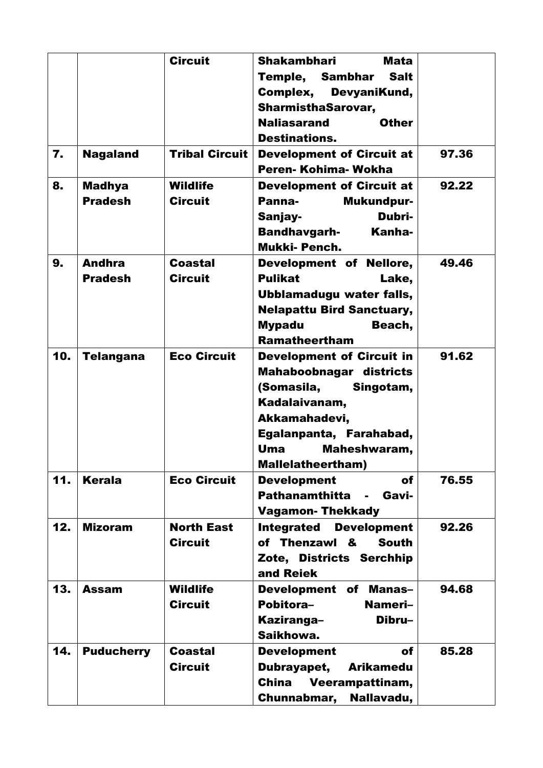|              |                   | <b>Circuit</b>        | <b>Shakambhari</b><br><b>Mata</b>                |       |
|--------------|-------------------|-----------------------|--------------------------------------------------|-------|
|              |                   |                       |                                                  |       |
|              |                   |                       | Temple, Sambhar Salt                             |       |
|              |                   |                       | Complex,<br>DevyaniKund,                         |       |
|              |                   |                       | <b>SharmisthaSarovar,</b>                        |       |
|              |                   |                       | <b>Naliasarand</b><br><b>Other</b>               |       |
|              |                   |                       | <b>Destinations.</b>                             |       |
| $\mathbf{7}$ | <b>Nagaland</b>   | <b>Tribal Circuit</b> | <b>Development of Circuit at</b>                 | 97.36 |
|              |                   |                       | Peren-Kohima-Wokha                               |       |
| 8.           | <b>Madhya</b>     | <b>Wildlife</b>       | <b>Development of Circuit at</b>                 | 92.22 |
|              | <b>Pradesh</b>    | <b>Circuit</b>        | Panna-<br>Mukundpur-                             |       |
|              |                   |                       | Dubri-<br>Sanjay-                                |       |
|              |                   |                       | <b>Bandhavgarh-</b><br>Kanha-                    |       |
|              |                   |                       | <b>Mukki-Pench.</b>                              |       |
| 9.           | <b>Andhra</b>     | <b>Coastal</b>        | Development of Nellore,                          | 49.46 |
|              | <b>Pradesh</b>    | <b>Circuit</b>        | <b>Pulikat</b><br>Lake,                          |       |
|              |                   |                       | Ubblamadugu water falls,                         |       |
|              |                   |                       | <b>Nelapattu Bird Sanctuary,</b>                 |       |
|              |                   |                       | <b>Mypadu</b><br>Beach,                          |       |
|              |                   |                       | <b>Ramatheertham</b>                             |       |
| 10.          |                   | <b>Eco Circuit</b>    |                                                  | 91.62 |
|              | <b>Telangana</b>  |                       | <b>Development of Circuit in</b>                 |       |
|              |                   |                       | <b>Mahaboobnagar districts</b>                   |       |
|              |                   |                       | (Somasila, Singotam,                             |       |
|              |                   |                       | Kadalaivanam,                                    |       |
|              |                   |                       | Akkamahadevi,                                    |       |
|              |                   |                       | Egalanpanta, Farahabad,                          |       |
|              |                   |                       | Uma<br>Maheshwaram,                              |       |
|              |                   |                       | <b>Mallelatheertham)</b>                         |       |
| 11.          | <b>Kerala</b>     | <b>Eco Circuit</b>    | <b>Development</b><br>of                         | 76.55 |
|              |                   |                       | <b>Pathanamthitta</b><br>Gavi-<br>$\blacksquare$ |       |
|              |                   |                       | <b>Vagamon-Thekkady</b>                          |       |
| 12.          | <b>Mizoram</b>    | <b>North East</b>     | <b>Integrated</b><br><b>Development</b>          | 92.26 |
|              |                   | <b>Circuit</b>        | of Thenzawl &<br><b>South</b>                    |       |
|              |                   |                       | Zote, Districts Serchhip                         |       |
|              |                   |                       | and Reiek                                        |       |
| 13.          | <b>Assam</b>      | <b>Wildlife</b>       | <b>Development of Manas-</b>                     | 94.68 |
|              |                   | <b>Circuit</b>        | Pobitora-<br>Nameri-                             |       |
|              |                   |                       | Dibru-<br>Kaziranga-                             |       |
|              |                   |                       | Saikhowa.                                        |       |
| 14.          | <b>Puducherry</b> | <b>Coastal</b>        | <b>Development</b><br>of                         | 85.28 |
|              |                   | <b>Circuit</b>        | Dubrayapet,<br><b>Arikamedu</b>                  |       |
|              |                   |                       | <b>China</b><br>Veerampattinam,                  |       |
|              |                   |                       |                                                  |       |
|              |                   |                       | Nallavadu,<br>Chunnabmar,                        |       |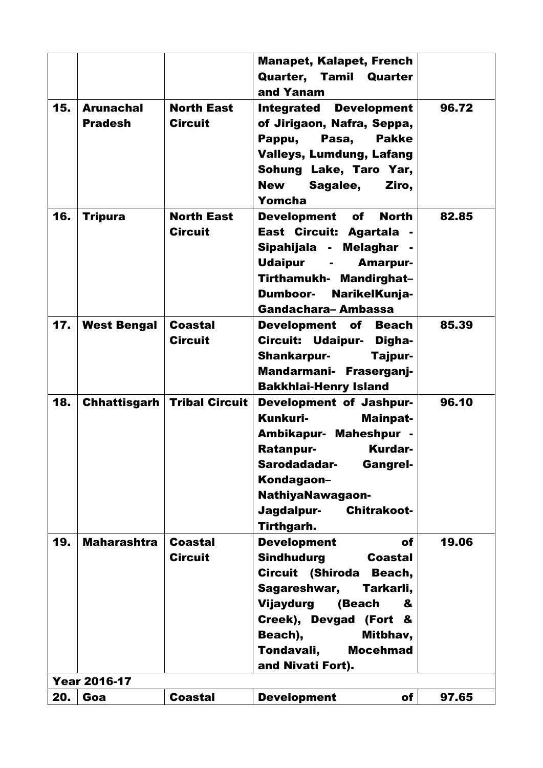|     |                                    |                                      | <b>Manapet, Kalapet, French</b><br>Quarter, Tamil Quarter                                                                                                                                                                                                     |       |
|-----|------------------------------------|--------------------------------------|---------------------------------------------------------------------------------------------------------------------------------------------------------------------------------------------------------------------------------------------------------------|-------|
| 15. | <b>Arunachal</b><br><b>Pradesh</b> | <b>North East</b><br><b>Circuit</b>  | and Yanam<br><b>Integrated Development</b><br>of Jirigaon, Nafra, Seppa,<br>Pappu,<br>Pasa,<br><b>Pakke</b><br><b>Valleys, Lumdung, Lafang</b><br>Sohung Lake, Taro Yar,<br><b>New</b><br>Sagalee,<br>Ziro,<br>Yomcha                                         | 96.72 |
| 16. | <b>Tripura</b>                     | <b>North East</b><br><b>Circuit</b>  | Development of<br><b>North</b><br>East Circuit: Agartala -<br>Sipahijala - Melaghar -<br>Udaipur -<br><b>Amarpur-</b><br>Tirthamukh- Mandirghat-<br>NarikelKunja-<br><b>Dumboor-</b><br>Gandachara-Ambassa                                                    | 82.85 |
| 17. | <b>West Bengal</b>                 | <b>Coastal</b><br><b>Circuit</b>     | <b>Development of Beach</b><br>Circuit: Udaipur- Digha-<br>Shankarpur-<br>Tajpur-<br>Mandarmani- Fraserganj-<br><b>Bakkhlai-Henry Island</b>                                                                                                                  | 85.39 |
| 18. |                                    | <b>Chhattisgarh   Tribal Circuit</b> | <b>Development of Jashpur-</b><br>Kunkuri-<br>Mainpat-<br>Ambikapur- Maheshpur -<br>Ratanpur-<br><b>Kurdar-</b><br>Sarodadadar-<br><b>Gangrel-</b><br>Kondagaon-<br><b>NathiyaNawagaon-</b><br>Jagdalpur-<br><b>Chitrakoot-</b><br>Tirthgarh.                 | 96.10 |
| 19. | <b>Maharashtra</b>                 | <b>Coastal</b><br><b>Circuit</b>     | <b>Development</b><br>of<br><b>Sindhudurg</b><br><b>Coastal</b><br>Circuit (Shiroda<br>Beach,<br>Sagareshwar,<br>Tarkarli,<br>Vijaydurg<br>(Beach<br>&<br>Creek), Devgad (Fort &<br>Beach),<br>Mitbhav,<br>Tondavali,<br><b>Mocehmad</b><br>and Nivati Fort). | 19.06 |
|     | <b>Year 2016-17</b>                |                                      |                                                                                                                                                                                                                                                               |       |
| 20. | Goa                                | <b>Coastal</b>                       | <b>Development</b><br>of                                                                                                                                                                                                                                      | 97.65 |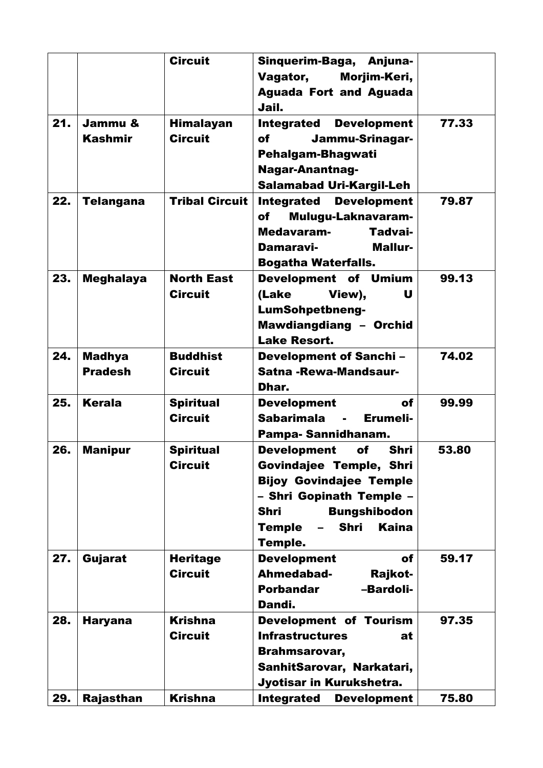|     |                  | <b>Circuit</b>        | Sinquerim-Baga, Anjuna-                      |       |
|-----|------------------|-----------------------|----------------------------------------------|-------|
|     |                  |                       | Vagator,<br>Morjim-Keri,                     |       |
|     |                  |                       | <b>Aguada Fort and Aguada</b>                |       |
|     |                  |                       | Jail.                                        |       |
| 21. | Jammu &          | <b>Himalayan</b>      | <b>Development</b><br><b>Integrated</b>      | 77.33 |
|     | <b>Kashmir</b>   | <b>Circuit</b>        | Jammu-Srinagar-<br>of                        |       |
|     |                  |                       | Pehalgam-Bhagwati                            |       |
|     |                  |                       | <b>Nagar-Anantnag-</b>                       |       |
|     |                  |                       | <b>Salamabad Uri-Kargil-Leh</b>              |       |
| 22. | <b>Telangana</b> | <b>Tribal Circuit</b> | <b>Integrated</b><br><b>Development</b>      | 79.87 |
|     |                  |                       | Mulugu-Laknavaram-<br>of                     |       |
|     |                  |                       | Medavaram-<br>Tadvai-                        |       |
|     |                  |                       | <b>Mallur-</b><br>Damaravi-                  |       |
|     |                  |                       | <b>Bogatha Waterfalls.</b>                   |       |
| 23. | <b>Meghalaya</b> | <b>North East</b>     | Development of Umium                         | 99.13 |
|     |                  | <b>Circuit</b>        | (Lake<br>View),<br>U                         |       |
|     |                  |                       | <b>LumSohpetbneng-</b>                       |       |
|     |                  |                       | Mawdiangdiang - Orchid                       |       |
|     |                  |                       | <b>Lake Resort.</b>                          |       |
| 24. | <b>Madhya</b>    | <b>Buddhist</b>       | <b>Development of Sanchi-</b>                | 74.02 |
|     | <b>Pradesh</b>   | <b>Circuit</b>        | Satna - Rewa-Mandsaur-                       |       |
|     |                  |                       | Dhar.                                        |       |
| 25. | <b>Kerala</b>    | <b>Spiritual</b>      | <b>Development</b><br>of                     | 99.99 |
|     |                  | <b>Circuit</b>        | <b>Sabarimala</b><br>Erumeli-                |       |
|     |                  |                       | Pampa-Sannidhanam.                           |       |
| 26. | <b>Manipur</b>   | <b>Spiritual</b>      | <b>Shri</b><br><b>Development</b><br>of      | 53.80 |
|     |                  | <b>Circuit</b>        | Govindajee Temple, Shri                      |       |
|     |                  |                       | <b>Bijoy Govindajee Temple</b>               |       |
|     |                  |                       | - Shri Gopinath Temple -                     |       |
|     |                  |                       | <b>Shri</b><br><b>Bungshibodon</b>           |       |
|     |                  |                       | <b>Kaina</b><br><b>Shri</b><br><b>Temple</b> |       |
|     |                  |                       | <b>Temple.</b>                               |       |
| 27. | Gujarat          | <b>Heritage</b>       | <b>Development</b><br>of                     | 59.17 |
|     |                  | <b>Circuit</b>        | Ahmedabad-<br>Rajkot-                        |       |
|     |                  |                       | <b>Porbandar</b><br>-Bardoli-                |       |
|     |                  |                       | Dandi.                                       |       |
| 28. | <b>Haryana</b>   | <b>Krishna</b>        | Development of Tourism                       | 97.35 |
|     |                  | <b>Circuit</b>        | <b>Infrastructures</b><br>at                 |       |
|     |                  |                       | Brahmsarovar,                                |       |
|     |                  |                       | SanhitSarovar, Narkatari,                    |       |
|     |                  |                       | Jyotisar in Kurukshetra.                     |       |
| 29. | Rajasthan        | <b>Krishna</b>        | <b>Integrated</b><br><b>Development</b>      | 75.80 |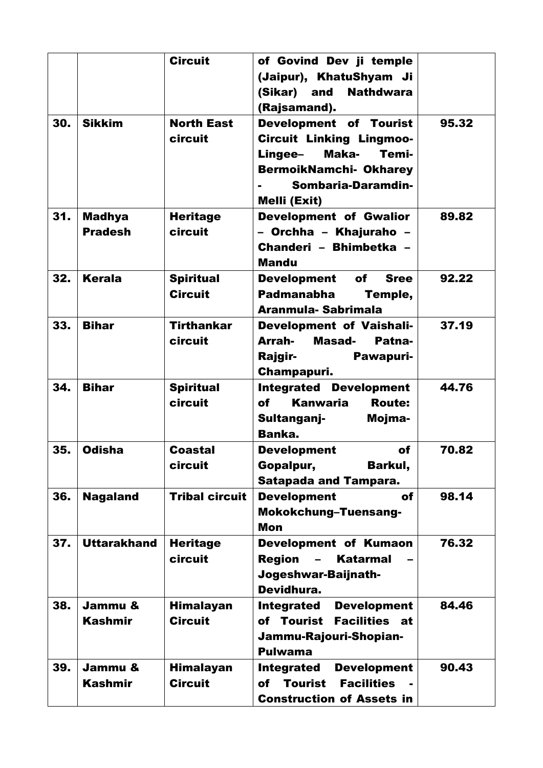|     |                    | <b>Circuit</b>        | of Govind Dev ji temple                          |       |
|-----|--------------------|-----------------------|--------------------------------------------------|-------|
|     |                    |                       | (Jaipur), KhatuShyam Ji                          |       |
|     |                    |                       | <b>Nathdwara</b><br>(Sikar) and                  |       |
|     |                    |                       | (Rajsamand).                                     |       |
| 30. | <b>Sikkim</b>      | <b>North East</b>     | Development of Tourist                           | 95.32 |
|     |                    | circuit               | <b>Circuit Linking Lingmoo-</b>                  |       |
|     |                    |                       | Maka-<br>Lingee-<br>Temi-                        |       |
|     |                    |                       | <b>BermoikNamchi- Okharey</b>                    |       |
|     |                    |                       | Sombaria-Daramdin-                               |       |
|     |                    |                       | Melli (Exit)                                     |       |
| 31. | <b>Madhya</b>      | <b>Heritage</b>       | <b>Development of Gwalior</b>                    | 89.82 |
|     | <b>Pradesh</b>     | circuit               | - Orchha - Khajuraho -                           |       |
|     |                    |                       | Chanderi - Bhimbetka -                           |       |
|     |                    |                       | <b>Mandu</b>                                     |       |
|     |                    |                       |                                                  |       |
| 32. | <b>Kerala</b>      | <b>Spiritual</b>      | Development of Sree                              | 92.22 |
|     |                    | <b>Circuit</b>        | Padmanabha<br>Temple,                            |       |
|     |                    |                       | Aranmula-Sabrimala                               |       |
| 33. | <b>Bihar</b>       | <b>Tirthankar</b>     | Development of Vaishali-                         | 37.19 |
|     |                    | circuit               | Arrah-<br>Masad-<br>Patna-                       |       |
|     |                    |                       | Rajgir-<br>Pawapuri-                             |       |
|     |                    |                       | Champapuri.                                      |       |
| 34. | <b>Bihar</b>       | <b>Spiritual</b>      | <b>Integrated Development</b>                    | 44.76 |
|     |                    | circuit               | <b>Kanwaria</b><br><b>of</b><br><b>Route:</b>    |       |
|     |                    |                       | Sultanganj-<br>Mojma-                            |       |
|     |                    |                       | Banka.                                           |       |
| 35. | <b>Odisha</b>      | Coastal               | <b>Development</b><br>of                         | 70.82 |
|     |                    | circuit               | Gopalpur,<br>Barkul,                             |       |
|     |                    |                       | <b>Satapada and Tampara.</b>                     |       |
| 36. | <b>Nagaland</b>    | <b>Tribal circuit</b> | <b>Development</b><br>of                         | 98.14 |
|     |                    |                       | Mokokchung-Tuensang-                             |       |
|     |                    |                       | <b>Mon</b>                                       |       |
| 37. | <b>Uttarakhand</b> | <b>Heritage</b>       | Development of Kumaon                            | 76.32 |
|     |                    | circuit               | <b>Region</b><br><b>Katarmal</b>                 |       |
|     |                    |                       | Jogeshwar-Baijnath-                              |       |
|     |                    |                       | Devidhura.                                       |       |
| 38. | Jammu &            | <b>Himalayan</b>      | <b>Development</b><br><b>Integrated</b>          | 84.46 |
|     | <b>Kashmir</b>     | <b>Circuit</b>        | of Tourist<br><b>Facilities at</b>               |       |
|     |                    |                       |                                                  |       |
|     |                    |                       | Jammu-Rajouri-Shopian-                           |       |
|     |                    |                       | <b>Pulwama</b>                                   |       |
| 39. | Jammu &            | <b>Himalayan</b>      | <b>Integrated</b><br><b>Development</b>          | 90.43 |
|     | <b>Kashmir</b>     | <b>Circuit</b>        | <b>Tourist</b><br><b>Facilities</b><br><b>of</b> |       |
|     |                    |                       | <b>Construction of Assets in</b>                 |       |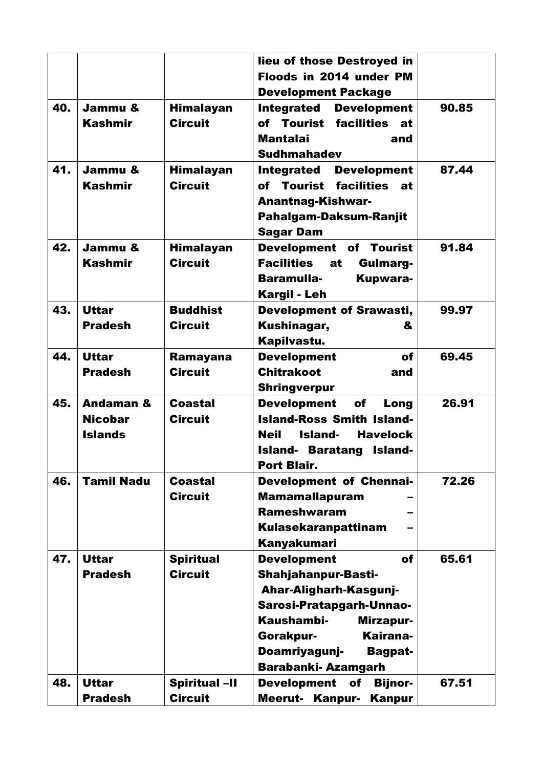|     |                                                          |                                        | lieu of those Destroyed in<br>Floods in 2014 under PM<br><b>Development Package</b>                                                                                                                                              |       |
|-----|----------------------------------------------------------|----------------------------------------|----------------------------------------------------------------------------------------------------------------------------------------------------------------------------------------------------------------------------------|-------|
| 40. | Jammu &<br><b>Kashmir</b>                                | <b>Himalayan</b><br><b>Circuit</b>     | <b>Integrated</b><br><b>Development</b><br>of Tourist facilities<br>at<br><b>Mantalai</b><br>and<br><b>Sudhmahadev</b>                                                                                                           | 90.85 |
| 41. | Jammu &<br><b>Kashmir</b>                                | <b>Himalayan</b><br><b>Circuit</b>     | <b>Development</b><br><b>Integrated</b><br>of Tourist facilities<br>at<br><b>Anantnag-Kishwar-</b><br>Pahalgam-Daksum-Ranjit<br>Sagar Dam                                                                                        | 87.44 |
| 42. | Jammu &<br><b>Kashmir</b>                                | <b>Himalayan</b><br><b>Circuit</b>     | Development of Tourist<br><b>Facilities</b><br>at<br>Gulmarg-<br><b>Baramulla-</b><br><b>Kupwara-</b><br><b>Kargil - Leh</b>                                                                                                     | 91.84 |
| 43. | <b>Uttar</b><br><b>Pradesh</b>                           | <b>Buddhist</b><br><b>Circuit</b>      | <b>Development of Srawasti,</b><br>Kushinagar,<br>&<br>Kapilvastu.                                                                                                                                                               | 99.97 |
| 44. | <b>Uttar</b><br><b>Pradesh</b>                           | Ramayana<br><b>Circuit</b>             | <b>Development</b><br>of<br><b>Chitrakoot</b><br>and<br><b>Shringverpur</b>                                                                                                                                                      | 69.45 |
| 45. | <b>Andaman &amp;</b><br><b>Nicobar</b><br><b>Islands</b> | Coastal<br><b>Circuit</b>              | <b>Development</b><br><b>of</b><br>Long<br><b>Island-Ross Smith Island-</b><br><b>Neil</b><br>Island-<br><b>Havelock</b><br><b>Island- Baratang</b><br>Island-<br>Port Blair.                                                    | 26.91 |
| 46. | <b>Tamil Nadu</b>                                        | <b>Coastal</b><br><b>Circuit</b>       | <b>Development of Chennai-</b><br><b>Mamamallapuram</b><br><b>Rameshwaram</b><br><b>Kulasekaranpattinam</b><br>Kanyakumari                                                                                                       | 72.26 |
| 47. | <b>Uttar</b><br><b>Pradesh</b>                           | <b>Spiritual</b><br><b>Circuit</b>     | <b>Development</b><br>of<br><b>Shahjahanpur-Basti-</b><br>Ahar-Aligharh-Kasgunj-<br>Sarosi-Pratapgarh-Unnao-<br>Kaushambi-<br>Mirzapur-<br>Kairana-<br>Gorakpur-<br>Doamriyagunj-<br><b>Bagpat-</b><br><b>Barabanki-Azamgarh</b> | 65.61 |
| 48. | <b>Uttar</b><br><b>Pradesh</b>                           | <b>Spiritual -II</b><br><b>Circuit</b> | <b>Development</b><br>of<br><b>Bijnor-</b><br><b>Meerut- Kanpur-</b><br>Kanpur                                                                                                                                                   | 67.51 |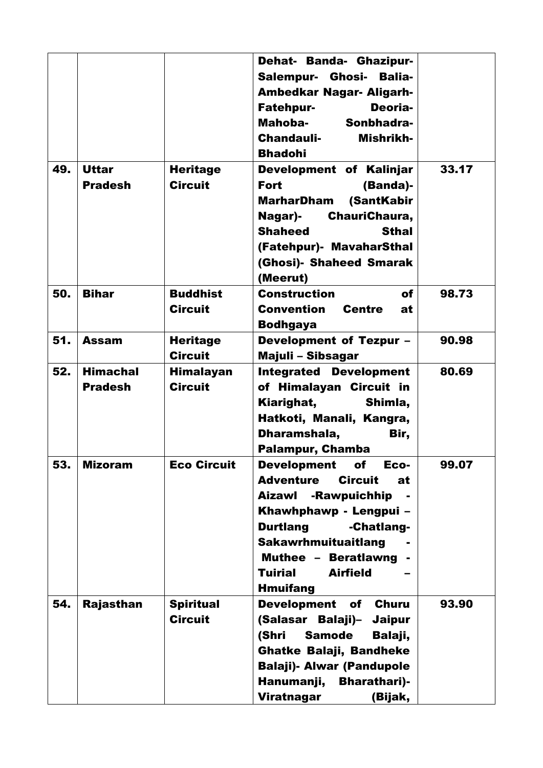|     |                 |                    | Dehat- Banda- Ghazipur-<br>Salempur- Ghosi- Balia-<br><b>Ambedkar Nagar- Aligarh-</b> |       |
|-----|-----------------|--------------------|---------------------------------------------------------------------------------------|-------|
|     |                 |                    | <b>Fatehpur-</b><br>Deoria-                                                           |       |
|     |                 |                    | Mahoba-<br>Sonbhadra-                                                                 |       |
|     |                 |                    | <b>Chandauli-</b><br>Mishrikh-                                                        |       |
|     |                 |                    | <b>Bhadohi</b>                                                                        |       |
| 49. | <b>Uttar</b>    | <b>Heritage</b>    | Development of Kalinjar                                                               | 33.17 |
|     | <b>Pradesh</b>  | <b>Circuit</b>     | <b>Fort</b><br>(Banda)-                                                               |       |
|     |                 |                    | (SantKabir<br><b>MarharDham</b>                                                       |       |
|     |                 |                    | Nagar)-<br>ChauriChaura,                                                              |       |
|     |                 |                    | <b>Shaheed</b><br><b>Sthal</b>                                                        |       |
|     |                 |                    | (Fatehpur)- MavaharSthal                                                              |       |
|     |                 |                    | (Ghosi)- Shaheed Smarak                                                               |       |
|     |                 |                    | (Meerut)                                                                              |       |
| 50. | <b>Bihar</b>    | <b>Buddhist</b>    | <b>Construction</b><br>of                                                             | 98.73 |
|     |                 | <b>Circuit</b>     | <b>Centre</b><br>Convention<br>at                                                     |       |
|     |                 |                    | <b>Bodhgaya</b>                                                                       |       |
| 51. | <b>Assam</b>    | <b>Heritage</b>    | <b>Development of Tezpur -</b>                                                        | 90.98 |
|     |                 | <b>Circuit</b>     | Majuli - Sibsagar                                                                     |       |
| 52. | <b>Himachal</b> | <b>Himalayan</b>   | <b>Integrated Development</b>                                                         | 80.69 |
|     | <b>Pradesh</b>  | <b>Circuit</b>     | of Himalayan Circuit in                                                               |       |
|     |                 |                    | Kiarighat,<br>Shimla,                                                                 |       |
|     |                 |                    | Hatkoti, Manali, Kangra,                                                              |       |
|     |                 |                    | Dharamshala,<br>Bir,                                                                  |       |
|     |                 |                    | <b>Palampur, Chamba</b>                                                               |       |
| 53. | <b>Mizoram</b>  | <b>Eco Circuit</b> | <b>Development</b><br>of<br>Eco-                                                      | 99.07 |
|     |                 |                    | <b>Adventure</b><br><b>Circuit</b><br>at                                              |       |
|     |                 |                    | Aizawl<br>-Rawpuichhip                                                                |       |
|     |                 |                    | Khawhphawp - Lengpui -                                                                |       |
|     |                 |                    | <b>Durtlang</b><br>-Chatlang-                                                         |       |
|     |                 |                    | Sakawrhmuituaitlang                                                                   |       |
|     |                 |                    | Muthee - Beratlawng                                                                   |       |
|     |                 |                    | <b>Airfield</b><br><b>Tuirial</b>                                                     |       |
|     |                 |                    | <b>Hmuifang</b>                                                                       |       |
| 54. | Rajasthan       | <b>Spiritual</b>   | <b>Development</b><br>of<br><b>Churu</b>                                              | 93.90 |
|     |                 | <b>Circuit</b>     | (Salasar Balaji)-<br><b>Jaipur</b>                                                    |       |
|     |                 |                    | (Shri<br><b>Samode</b><br>Balaji,                                                     |       |
|     |                 |                    | <b>Ghatke Balaji, Bandheke</b>                                                        |       |
|     |                 |                    | <b>Balaji)- Alwar (Pandupole</b>                                                      |       |
|     |                 |                    | Hanumanji,<br><b>Bharathari</b> )-                                                    |       |
|     |                 |                    | Viratnagar<br>(Bijak,                                                                 |       |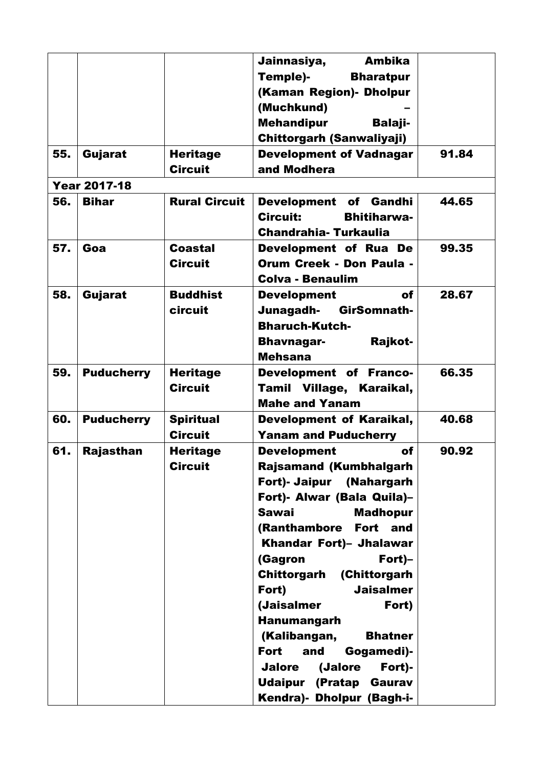|     |                     |                      | Jainnasiya,<br><b>Ambika</b>        |       |
|-----|---------------------|----------------------|-------------------------------------|-------|
|     |                     |                      | Temple)-<br><b>Bharatpur</b>        |       |
|     |                     |                      | (Kaman Region) - Dholpur            |       |
|     |                     |                      | (Muchkund)                          |       |
|     |                     |                      | <b>Mehandipur</b><br><b>Balaji-</b> |       |
|     |                     |                      | <b>Chittorgarh (Sanwaliyaji)</b>    |       |
| 55. | Gujarat             | <b>Heritage</b>      | <b>Development of Vadnagar</b>      | 91.84 |
|     |                     | <b>Circuit</b>       | and Modhera                         |       |
|     | <b>Year 2017-18</b> |                      |                                     |       |
| 56. | <b>Bihar</b>        | <b>Rural Circuit</b> | Development of Gandhi               | 44.65 |
|     |                     |                      | Circuit:<br><b>Bhitiharwa-</b>      |       |
|     |                     |                      | <b>Chandrahia-Turkaulia</b>         |       |
| 57. | Goa                 | <b>Coastal</b>       | Development of Rua De               | 99.35 |
|     |                     | <b>Circuit</b>       | <b>Orum Creek - Don Paula -</b>     |       |
|     |                     |                      | <b>Colva - Benaulim</b>             |       |
| 58. | Gujarat             | <b>Buddhist</b>      | <b>Development</b><br>of            | 28.67 |
|     |                     | circuit              | Junagadh-<br>GirSomnath-            |       |
|     |                     |                      | <b>Bharuch-Kutch-</b>               |       |
|     |                     |                      | <b>Bhavnagar-</b><br>Rajkot-        |       |
|     |                     |                      | <b>Mehsana</b>                      |       |
| 59. | <b>Puducherry</b>   | <b>Heritage</b>      | <b>Development of Franco-</b>       | 66.35 |
|     |                     | <b>Circuit</b>       | Tamil Village, Karaikal,            |       |
|     |                     |                      | <b>Mahe and Yanam</b>               |       |
| 60. | <b>Puducherry</b>   | <b>Spiritual</b>     | <b>Development of Karaikal,</b>     | 40.68 |
|     |                     | <b>Circuit</b>       | <b>Yanam and Puducherry</b>         |       |
| 61. | <b>Rajasthan</b>    | <b>Heritage</b>      | <b>Development</b><br>of            | 90.92 |
|     |                     | <b>Circuit</b>       | <b>Rajsamand (Kumbhalgarh</b>       |       |
|     |                     |                      | Fort)- Jaipur (Nahargarh            |       |
|     |                     |                      | Fort)- Alwar (Bala Quila)-          |       |
|     |                     |                      | <b>Sawai</b><br><b>Madhopur</b>     |       |
|     |                     |                      | (Ranthambore<br>Fort and            |       |
|     |                     |                      | Khandar Fort)- Jhalawar             |       |
|     |                     |                      | $Fort$ -<br>(Gagron                 |       |
|     |                     |                      | (Chittorgarh<br>Chittorgarh         |       |
|     |                     |                      | Fort)<br><b>Jaisalmer</b>           |       |
|     |                     |                      | (Jaisalmer<br>Fort)                 |       |
|     |                     |                      | <b>Hanumangarh</b>                  |       |
|     |                     |                      | (Kalibangan,<br><b>Bhatner</b>      |       |
|     |                     |                      | and<br><b>Fort</b><br>Gogamedi)-    |       |
|     |                     |                      | (Jalore<br>Fort)-<br><b>Jalore</b>  |       |
|     |                     |                      | (Pratap<br>Udaipur<br>Gaurav        |       |
|     |                     |                      | Kendra)- Dholpur (Bagh-i-           |       |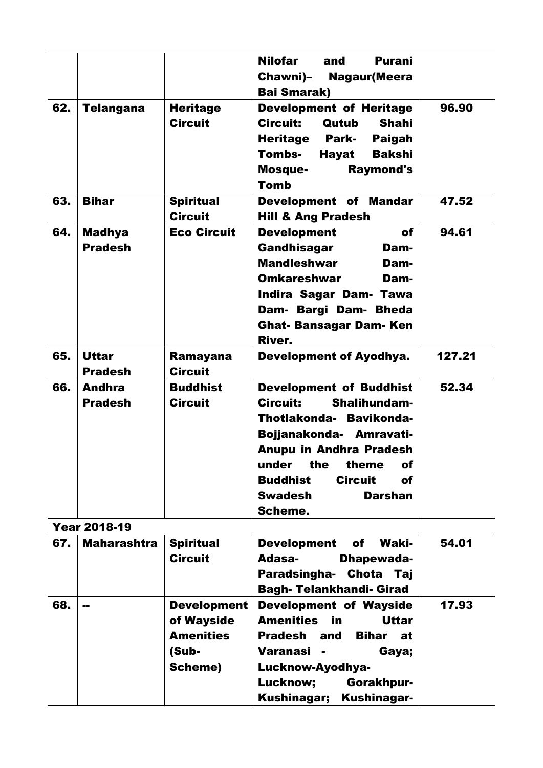|                     |                                                                                       | <b>Nilofar</b><br><b>Purani</b><br>and                                                                                             |                                                                                                                                                                                                                                                                                                                                                                                                                                                                                                                                                                                                                                                                                                                    |
|---------------------|---------------------------------------------------------------------------------------|------------------------------------------------------------------------------------------------------------------------------------|--------------------------------------------------------------------------------------------------------------------------------------------------------------------------------------------------------------------------------------------------------------------------------------------------------------------------------------------------------------------------------------------------------------------------------------------------------------------------------------------------------------------------------------------------------------------------------------------------------------------------------------------------------------------------------------------------------------------|
|                     |                                                                                       |                                                                                                                                    |                                                                                                                                                                                                                                                                                                                                                                                                                                                                                                                                                                                                                                                                                                                    |
|                     |                                                                                       |                                                                                                                                    |                                                                                                                                                                                                                                                                                                                                                                                                                                                                                                                                                                                                                                                                                                                    |
|                     |                                                                                       |                                                                                                                                    | 96.90                                                                                                                                                                                                                                                                                                                                                                                                                                                                                                                                                                                                                                                                                                              |
|                     |                                                                                       |                                                                                                                                    |                                                                                                                                                                                                                                                                                                                                                                                                                                                                                                                                                                                                                                                                                                                    |
|                     |                                                                                       |                                                                                                                                    |                                                                                                                                                                                                                                                                                                                                                                                                                                                                                                                                                                                                                                                                                                                    |
|                     |                                                                                       |                                                                                                                                    |                                                                                                                                                                                                                                                                                                                                                                                                                                                                                                                                                                                                                                                                                                                    |
|                     |                                                                                       |                                                                                                                                    |                                                                                                                                                                                                                                                                                                                                                                                                                                                                                                                                                                                                                                                                                                                    |
|                     |                                                                                       |                                                                                                                                    |                                                                                                                                                                                                                                                                                                                                                                                                                                                                                                                                                                                                                                                                                                                    |
|                     |                                                                                       |                                                                                                                                    |                                                                                                                                                                                                                                                                                                                                                                                                                                                                                                                                                                                                                                                                                                                    |
|                     |                                                                                       |                                                                                                                                    | 47.52                                                                                                                                                                                                                                                                                                                                                                                                                                                                                                                                                                                                                                                                                                              |
|                     |                                                                                       |                                                                                                                                    |                                                                                                                                                                                                                                                                                                                                                                                                                                                                                                                                                                                                                                                                                                                    |
|                     |                                                                                       |                                                                                                                                    | 94.61                                                                                                                                                                                                                                                                                                                                                                                                                                                                                                                                                                                                                                                                                                              |
|                     |                                                                                       | Dam-                                                                                                                               |                                                                                                                                                                                                                                                                                                                                                                                                                                                                                                                                                                                                                                                                                                                    |
|                     |                                                                                       | <b>Mandleshwar</b><br>Dam-                                                                                                         |                                                                                                                                                                                                                                                                                                                                                                                                                                                                                                                                                                                                                                                                                                                    |
|                     |                                                                                       | <b>Omkareshwar</b><br>Dam-                                                                                                         |                                                                                                                                                                                                                                                                                                                                                                                                                                                                                                                                                                                                                                                                                                                    |
|                     |                                                                                       | Indira Sagar Dam- Tawa                                                                                                             |                                                                                                                                                                                                                                                                                                                                                                                                                                                                                                                                                                                                                                                                                                                    |
|                     |                                                                                       | Dam- Bargi Dam- Bheda                                                                                                              |                                                                                                                                                                                                                                                                                                                                                                                                                                                                                                                                                                                                                                                                                                                    |
|                     |                                                                                       |                                                                                                                                    |                                                                                                                                                                                                                                                                                                                                                                                                                                                                                                                                                                                                                                                                                                                    |
|                     |                                                                                       | <b>River.</b>                                                                                                                      |                                                                                                                                                                                                                                                                                                                                                                                                                                                                                                                                                                                                                                                                                                                    |
| <b>Uttar</b>        |                                                                                       |                                                                                                                                    | 127.21                                                                                                                                                                                                                                                                                                                                                                                                                                                                                                                                                                                                                                                                                                             |
| <b>Pradesh</b>      | <b>Circuit</b>                                                                        |                                                                                                                                    |                                                                                                                                                                                                                                                                                                                                                                                                                                                                                                                                                                                                                                                                                                                    |
| <b>Andhra</b>       | <b>Buddhist</b>                                                                       |                                                                                                                                    | 52.34                                                                                                                                                                                                                                                                                                                                                                                                                                                                                                                                                                                                                                                                                                              |
|                     |                                                                                       | <b>Circuit:</b>                                                                                                                    |                                                                                                                                                                                                                                                                                                                                                                                                                                                                                                                                                                                                                                                                                                                    |
|                     |                                                                                       |                                                                                                                                    |                                                                                                                                                                                                                                                                                                                                                                                                                                                                                                                                                                                                                                                                                                                    |
|                     |                                                                                       |                                                                                                                                    |                                                                                                                                                                                                                                                                                                                                                                                                                                                                                                                                                                                                                                                                                                                    |
|                     |                                                                                       |                                                                                                                                    |                                                                                                                                                                                                                                                                                                                                                                                                                                                                                                                                                                                                                                                                                                                    |
|                     |                                                                                       |                                                                                                                                    |                                                                                                                                                                                                                                                                                                                                                                                                                                                                                                                                                                                                                                                                                                                    |
|                     |                                                                                       |                                                                                                                                    |                                                                                                                                                                                                                                                                                                                                                                                                                                                                                                                                                                                                                                                                                                                    |
|                     |                                                                                       |                                                                                                                                    |                                                                                                                                                                                                                                                                                                                                                                                                                                                                                                                                                                                                                                                                                                                    |
|                     |                                                                                       |                                                                                                                                    |                                                                                                                                                                                                                                                                                                                                                                                                                                                                                                                                                                                                                                                                                                                    |
|                     |                                                                                       |                                                                                                                                    |                                                                                                                                                                                                                                                                                                                                                                                                                                                                                                                                                                                                                                                                                                                    |
|                     |                                                                                       | Scheme.                                                                                                                            |                                                                                                                                                                                                                                                                                                                                                                                                                                                                                                                                                                                                                                                                                                                    |
| <b>Year 2018-19</b> |                                                                                       |                                                                                                                                    |                                                                                                                                                                                                                                                                                                                                                                                                                                                                                                                                                                                                                                                                                                                    |
| <b>Maharashtra</b>  | <b>Spiritual</b>                                                                      | <b>Waki-</b><br><b>Development</b><br>of                                                                                           | 54.01                                                                                                                                                                                                                                                                                                                                                                                                                                                                                                                                                                                                                                                                                                              |
|                     | <b>Circuit</b>                                                                        | Adasa-<br>Dhapewada-                                                                                                               |                                                                                                                                                                                                                                                                                                                                                                                                                                                                                                                                                                                                                                                                                                                    |
|                     |                                                                                       | Paradsingha- Chota Taj                                                                                                             |                                                                                                                                                                                                                                                                                                                                                                                                                                                                                                                                                                                                                                                                                                                    |
|                     |                                                                                       | <b>Bagh- Telankhandi- Girad</b>                                                                                                    |                                                                                                                                                                                                                                                                                                                                                                                                                                                                                                                                                                                                                                                                                                                    |
| --                  | <b>Development</b>                                                                    | <b>Development of Wayside</b>                                                                                                      | 17.93                                                                                                                                                                                                                                                                                                                                                                                                                                                                                                                                                                                                                                                                                                              |
|                     | of Wayside                                                                            | <b>Amenities</b><br><b>Uttar</b><br>in                                                                                             |                                                                                                                                                                                                                                                                                                                                                                                                                                                                                                                                                                                                                                                                                                                    |
|                     | <b>Amenities</b>                                                                      | <b>Pradesh</b><br>and<br><b>Bihar</b> at                                                                                           |                                                                                                                                                                                                                                                                                                                                                                                                                                                                                                                                                                                                                                                                                                                    |
|                     | (Sub-                                                                                 | Varanasi -<br>Gaya;                                                                                                                |                                                                                                                                                                                                                                                                                                                                                                                                                                                                                                                                                                                                                                                                                                                    |
|                     | Scheme)                                                                               | Lucknow-Ayodhya-                                                                                                                   |                                                                                                                                                                                                                                                                                                                                                                                                                                                                                                                                                                                                                                                                                                                    |
|                     |                                                                                       | Lucknow;<br>Gorakhpur-                                                                                                             |                                                                                                                                                                                                                                                                                                                                                                                                                                                                                                                                                                                                                                                                                                                    |
|                     | <b>Telangana</b><br><b>Bihar</b><br><b>Madhya</b><br><b>Pradesh</b><br><b>Pradesh</b> | <b>Heritage</b><br><b>Circuit</b><br><b>Spiritual</b><br><b>Circuit</b><br><b>Eco Circuit</b><br><b>Ramayana</b><br><b>Circuit</b> | Chawni)–<br><b>Nagaur (Meera</b><br><b>Bai Smarak)</b><br><b>Development of Heritage</b><br><b>Circuit:</b><br>Shahi<br>Qutub<br><b>Heritage</b><br><b>Park-</b><br><b>Paigah</b><br>Tombs-<br>Hayat<br><b>Bakshi</b><br><b>Raymond's</b><br><b>Mosque-</b><br><b>Tomb</b><br><b>Development of Mandar</b><br><b>Hill &amp; Ang Pradesh</b><br><b>Development</b><br>of<br>Gandhisagar<br><b>Ghat- Bansagar Dam- Ken</b><br><b>Development of Ayodhya.</b><br><b>Development of Buddhist</b><br>Shalihundam-<br>Thotlakonda- Bavikonda-<br>Bojjanakonda- Amravati-<br><b>Anupu in Andhra Pradesh</b><br>under<br>the<br>theme<br>of<br><b>Buddhist</b><br><b>Circuit</b><br>of<br><b>Swadesh</b><br><b>Darshan</b> |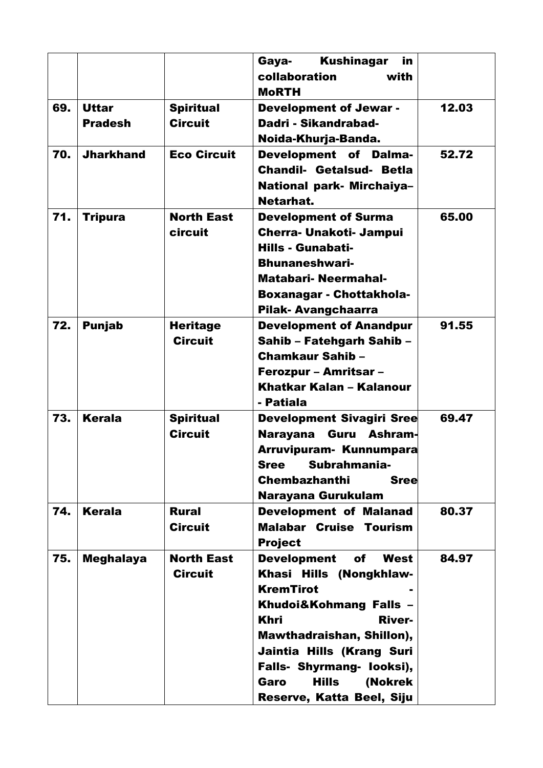|     |                                |                                     | <b>Kushinagar</b><br>Gaya-<br>in<br>collaboration<br>with<br><b>MoRTH</b>                                                                                                                                                                                                                        |       |
|-----|--------------------------------|-------------------------------------|--------------------------------------------------------------------------------------------------------------------------------------------------------------------------------------------------------------------------------------------------------------------------------------------------|-------|
| 69. | <b>Uttar</b><br><b>Pradesh</b> | <b>Spiritual</b><br><b>Circuit</b>  | <b>Development of Jewar -</b><br>Dadri - Sikandrabad-<br>Noida-Khurja-Banda.                                                                                                                                                                                                                     | 12.03 |
| 70. | <b>Jharkhand</b>               | <b>Eco Circuit</b>                  | <b>Development of Dalma-</b><br><b>Chandil- Getalsud- Betla</b><br>National park- Mirchaiya-<br>Netarhat.                                                                                                                                                                                        | 52.72 |
| 71. | <b>Tripura</b>                 | <b>North East</b><br>circuit        | <b>Development of Surma</b><br><b>Cherra- Unakoti- Jampui</b><br><b>Hills - Gunabati-</b><br><b>Bhunaneshwari-</b><br><b>Matabari- Neermahal-</b><br><b>Boxanagar - Chottakhola-</b><br>Pilak-Avangchaarra                                                                                       | 65.00 |
| 72. | <b>Punjab</b>                  | <b>Heritage</b><br><b>Circuit</b>   | <b>Development of Anandpur</b><br>Sahib - Fatehgarh Sahib -<br><b>Chamkaur Sahib -</b><br><b>Ferozpur - Amritsar -</b><br>Khatkar Kalan - Kalanour<br>- Patiala                                                                                                                                  | 91.55 |
| 73. | <b>Kerala</b>                  | <b>Spiritual</b><br><b>Circuit</b>  | Development Sivagiri Sree<br><b>Narayana</b><br><b>Guru</b> Ashram-<br>Arruvipuram-Kunnumpara<br>Subrahmania-<br><b>Sree</b><br><b>Chembazhanthi</b><br><b>Sree</b><br>Narayana Gurukulam                                                                                                        | 69.47 |
| 74. | <b>Kerala</b>                  | <b>Rural</b><br><b>Circuit</b>      | <b>Development of Malanad</b><br><b>Malabar Cruise Tourism</b><br><b>Project</b>                                                                                                                                                                                                                 | 80.37 |
| 75. | <b>Meghalaya</b>               | <b>North East</b><br><b>Circuit</b> | <b>Development</b><br>West<br>of<br>Khasi Hills (Nongkhlaw-<br><b>KremTirot</b><br>Khudoi&Kohmang Falls -<br><b>Khri</b><br><b>River-</b><br>Mawthadraishan, Shillon),<br>Jaintia Hills (Krang Suri<br>Falls- Shyrmang- looksi),<br><b>Hills</b><br>(Nokrek<br>Garo<br>Reserve, Katta Beel, Siju | 84.97 |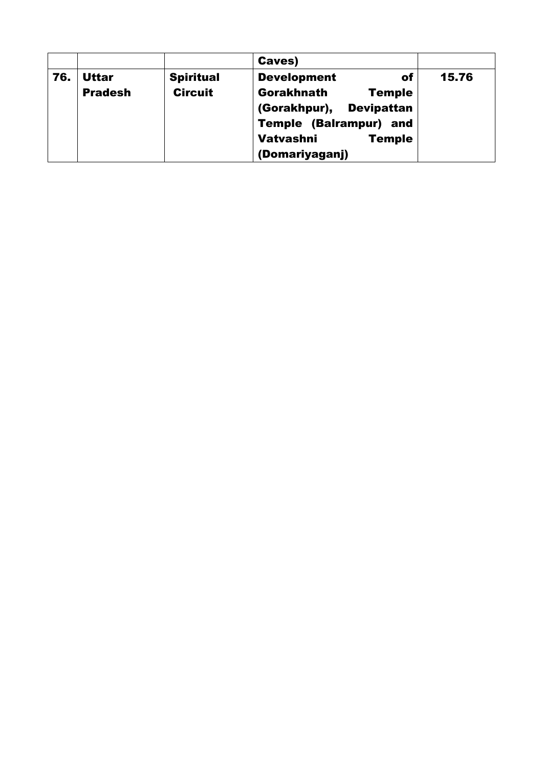|     |                |                  | Caves)                            |       |
|-----|----------------|------------------|-----------------------------------|-------|
| 76. | <b>Uttar</b>   | <b>Spiritual</b> | <b>Development</b><br>of          | 15.76 |
|     | <b>Pradesh</b> | <b>Circuit</b>   | Gorakhnath<br><b>Temple</b>       |       |
|     |                |                  | (Gorakhpur),<br><b>Devipattan</b> |       |
|     |                |                  | <b>Temple (Balrampur) and</b>     |       |
|     |                |                  | <b>Vatvashni</b><br><b>Temple</b> |       |
|     |                |                  | (Domariyaganj)                    |       |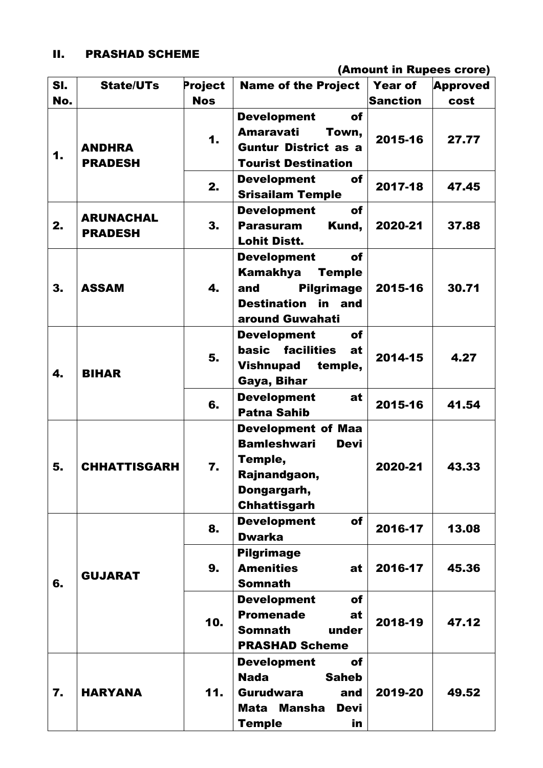# II. PRASHAD SCHEME

(Amount in Rupees crore)

| SI. | <b>State/UTs</b>                   | Project    | <b>Name of the Project</b>                             | <b>Year of</b>  | <b>Approved</b>                                                                       |
|-----|------------------------------------|------------|--------------------------------------------------------|-----------------|---------------------------------------------------------------------------------------|
| No. |                                    | <b>Nos</b> |                                                        | <b>Sanction</b> | cost                                                                                  |
|     |                                    |            | <b>Development</b><br>of                               |                 |                                                                                       |
| 1.  |                                    | 1.         | <b>Amaravati</b><br>Town,                              | 2015-16         |                                                                                       |
|     | <b>ANDHRA</b>                      |            | <b>Guntur District as a</b>                            |                 |                                                                                       |
|     | <b>PRADESH</b>                     |            | <b>Tourist Destination</b>                             |                 |                                                                                       |
|     |                                    | 2.         | <b>Development</b><br>of                               | 2017-18         |                                                                                       |
|     |                                    |            | <b>Srisailam Temple</b>                                |                 |                                                                                       |
|     | <b>ARUNACHAL</b><br><b>PRADESH</b> |            | <b>Development</b><br>of                               |                 |                                                                                       |
| 2.  |                                    | 3.         | <b>Parasuram</b><br>Kund,                              | 2020-21         | 37.88                                                                                 |
|     |                                    |            | <b>Lohit Distt.</b>                                    |                 |                                                                                       |
|     |                                    |            | <b>Development</b><br>of                               |                 |                                                                                       |
|     |                                    |            | <b>Kamakhya</b><br><b>Temple</b>                       |                 |                                                                                       |
| 3.  | <b>ASSAM</b>                       | 4.         | <b>Pilgrimage</b><br>and                               | 2015-16         |                                                                                       |
|     |                                    |            | <b>Destination in and</b>                              |                 |                                                                                       |
|     |                                    |            | around Guwahati                                        |                 | 27.77<br>47.45<br>30.71<br>4.27<br>41.54<br>43.33<br>13.08<br>45.36<br>47.12<br>49.52 |
|     |                                    |            | <b>Development</b><br>of                               |                 |                                                                                       |
|     |                                    | 5.         | basic facilities<br>at                                 | 2014-15         |                                                                                       |
| 4.  | <b>BIHAR</b>                       |            | <b>Vishnupad</b><br>temple,                            |                 |                                                                                       |
|     |                                    |            | Gaya, Bihar                                            |                 |                                                                                       |
|     |                                    | 6.         | <b>Development</b><br>at                               | 2015-16         |                                                                                       |
|     |                                    |            | <b>Patna Sahib</b>                                     |                 |                                                                                       |
|     |                                    |            | <b>Development of Maa</b>                              |                 |                                                                                       |
|     |                                    |            | <b>Bamleshwari</b><br><b>Devi</b>                      |                 |                                                                                       |
| 5.  | <b>CHHATTISGARH</b>                | 7.         | Temple,                                                | 2020-21         |                                                                                       |
|     |                                    |            | Rajnandgaon,                                           |                 |                                                                                       |
|     |                                    |            | Dongargarh,                                            |                 |                                                                                       |
|     |                                    |            | <b>Chhattisgarh</b><br><b>of</b><br><b>Development</b> |                 |                                                                                       |
|     |                                    | 8.         | <b>Dwarka</b>                                          | 2016-17         |                                                                                       |
|     |                                    |            | <b>Pilgrimage</b>                                      |                 |                                                                                       |
|     |                                    | 9.         | <b>Amenities</b><br>at                                 | 2016-17         |                                                                                       |
| 6.  | <b>GUJARAT</b>                     |            | <b>Somnath</b>                                         |                 |                                                                                       |
|     |                                    |            | <b>Development</b><br>of                               |                 |                                                                                       |
|     |                                    |            | <b>Promenade</b><br>at                                 |                 |                                                                                       |
|     |                                    | 10.        | <b>Somnath</b><br>under                                | 2018-19         |                                                                                       |
|     |                                    |            | <b>PRASHAD Scheme</b>                                  |                 |                                                                                       |
|     |                                    |            | <b>of</b><br><b>Development</b>                        |                 |                                                                                       |
|     |                                    |            | <b>Nada</b><br><b>Saheb</b>                            |                 |                                                                                       |
| 7.  | <b>HARYANA</b>                     | 11.        | <b>Gurudwara</b><br>and                                | 2019-20         |                                                                                       |
|     |                                    |            | <b>Mata</b><br><b>Mansha</b><br><b>Devi</b>            |                 |                                                                                       |
|     |                                    |            | <b>Temple</b><br>in.                                   |                 |                                                                                       |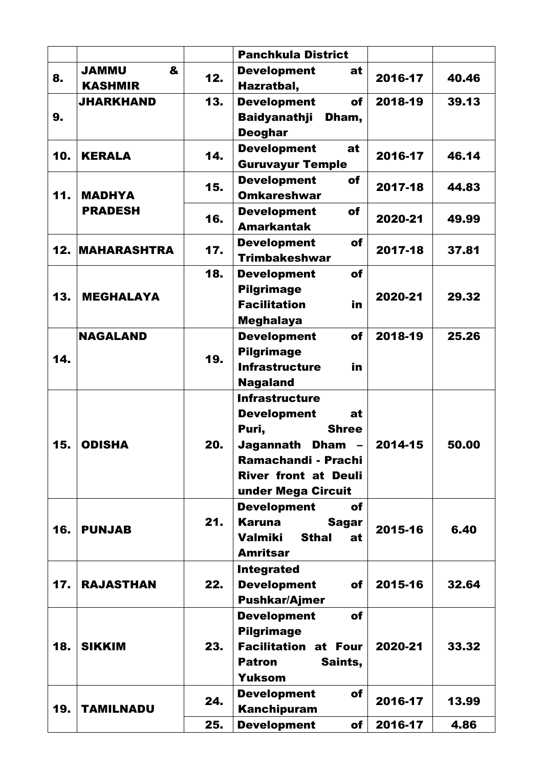|     |                                 |     | <b>Panchkula District</b>                             |         |       |
|-----|---------------------------------|-----|-------------------------------------------------------|---------|-------|
| 8.  | &<br><b>UMMAL</b>               | 12. | <b>Development</b><br>at                              | 2016-17 | 40.46 |
|     | <b>KASHMIR</b>                  |     | Hazratbal,                                            |         |       |
|     | <b>JHARKHAND</b>                | 13. | <b>Development</b><br>of                              | 2018-19 | 39.13 |
| 9.  |                                 |     | <b>Baidyanathji</b><br>Dham,                          |         |       |
|     |                                 |     | <b>Deoghar</b>                                        |         |       |
| 10. | <b>KERALA</b>                   | 14. | <b>Development</b><br>at                              | 2016-17 | 46.14 |
| 11. |                                 |     | <b>Guruvayur Temple</b>                               |         |       |
|     | <b>MADHYA</b><br><b>PRADESH</b> | 15. | <b>Development</b><br><b>of</b><br><b>Omkareshwar</b> | 2017-18 | 44.83 |
|     |                                 | 16. | <b>Development</b><br>of                              |         |       |
|     |                                 |     | <b>Amarkantak</b>                                     | 2020-21 | 49.99 |
|     |                                 |     | <b>of</b><br><b>Development</b>                       |         |       |
|     | <b>12. MAHARASHTRA</b>          | 17. | <b>Trimbakeshwar</b>                                  | 2017-18 | 37.81 |
|     |                                 | 18. | <b>Development</b><br>of                              |         |       |
|     | <b>MEGHALAYA</b>                |     | <b>Pilgrimage</b>                                     |         |       |
| 13. |                                 |     | <b>Facilitation</b><br>in                             | 2020-21 | 29.32 |
|     |                                 |     | <b>Meghalaya</b>                                      |         |       |
|     | <b>NAGALAND</b>                 |     | <b>of</b><br><b>Development</b>                       | 2018-19 | 25.26 |
| 14. |                                 | 19. | <b>Pilgrimage</b>                                     |         |       |
|     |                                 |     | <b>Infrastructure</b><br>in                           |         |       |
|     |                                 |     | <b>Nagaland</b>                                       |         |       |
| 15. | <b>ODISHA</b>                   | 20. | <b>Infrastructure</b>                                 |         |       |
|     |                                 |     | <b>Development</b><br>at                              |         |       |
|     |                                 |     | Puri,<br><b>Shree</b>                                 |         |       |
|     |                                 |     | Jagannath<br><b>Dham</b><br>Ramachandi - Prachi       | 2014-15 | 50.00 |
|     |                                 |     | <b>River front at Deuli</b>                           |         |       |
|     |                                 |     | under Mega Circuit                                    |         |       |
|     |                                 |     | <b>Development</b><br>of                              |         |       |
|     | <b>PUNJAB</b>                   | 21. | Karuna<br><b>Sagar</b>                                |         |       |
| 16. |                                 |     | <b>Sthal</b><br>Valmiki<br>at                         | 2015-16 | 6.40  |
|     |                                 |     | <b>Amritsar</b>                                       |         |       |
|     |                                 |     | <b>Integrated</b>                                     |         |       |
| 17. | <b>RAJASTHAN</b>                | 22. | <b>Development</b><br>of                              | 2015-16 | 32.64 |
|     |                                 |     | <b>Pushkar/Ajmer</b>                                  |         |       |
| 18. | <b>SIKKIM</b>                   | 23. | <b>Development</b><br><b>of</b>                       |         |       |
|     |                                 |     | <b>Pilgrimage</b>                                     |         |       |
|     |                                 |     | <b>Facilitation at Four</b>                           | 2020-21 | 33.32 |
|     |                                 |     | Saints,<br><b>Patron</b>                              |         |       |
|     |                                 |     | <b>Yuksom</b>                                         |         |       |
| 19. | <b>TAMILNADU</b>                | 24. | <b>Development</b><br>of<br><b>Kanchipuram</b>        | 2016-17 | 13.99 |
|     |                                 | 25. | <b>Development</b><br>of                              | 2016-17 | 4.86  |
|     |                                 |     |                                                       |         |       |